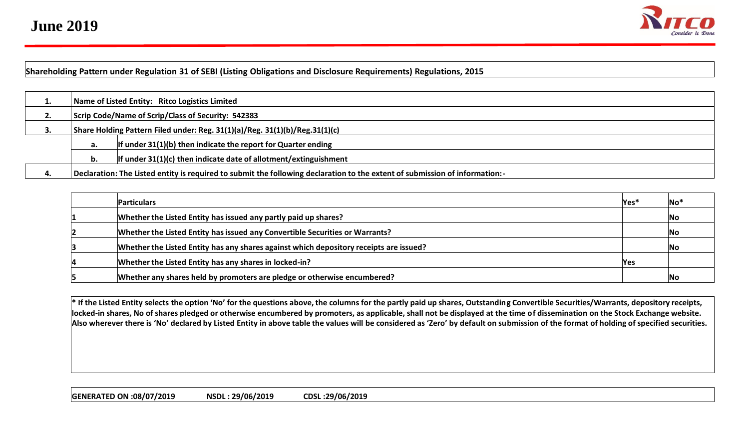

## **Shareholding Pattern under Regulation 31 of SEBI (Listing Obligations and Disclosure Requirements) Regulations, 2015**

| . . |                                                                             | Name of Listed Entity: Ritco Logistics Limited                                                                              |  |  |  |  |  |  |  |  |  |  |
|-----|-----------------------------------------------------------------------------|-----------------------------------------------------------------------------------------------------------------------------|--|--|--|--|--|--|--|--|--|--|
| Ζ.  | Scrip Code/Name of Scrip/Class of Security: 542383                          |                                                                                                                             |  |  |  |  |  |  |  |  |  |  |
| э.  | Share Holding Pattern Filed under: Reg. 31(1)(a)/Reg. 31(1)(b)/Reg.31(1)(c) |                                                                                                                             |  |  |  |  |  |  |  |  |  |  |
|     | а.                                                                          | If under $31(1)(b)$ then indicate the report for Quarter ending                                                             |  |  |  |  |  |  |  |  |  |  |
|     | b.                                                                          | If under $31(1)(c)$ then indicate date of allotment/extinguishment                                                          |  |  |  |  |  |  |  |  |  |  |
|     |                                                                             | Declaration: The Listed entity is required to submit the following declaration to the extent of submission of information:- |  |  |  |  |  |  |  |  |  |  |

| <b>Particulars</b>                                                                     | $\textsf{Yes}^*$ | ∣No*      |
|----------------------------------------------------------------------------------------|------------------|-----------|
| Whether the Listed Entity has issued any partly paid up shares?                        |                  | No        |
| Whether the Listed Entity has issued any Convertible Securities or Warrants?           |                  | No        |
| Whether the Listed Entity has any shares against which depository receipts are issued? |                  | <b>No</b> |
| Whether the Listed Entity has any shares in locked-in?                                 | <b>Yes</b>       |           |
| Whether any shares held by promoters are pledge or otherwise encumbered?               |                  | No        |

**\* If the Listed Entity selects the option 'No' for the questions above, the columns for the partly paid up shares, Outstanding Convertible Securities/Warrants, depository receipts, locked-in shares, No of shares pledged or otherwise encumbered by promoters, as applicable, shall not be displayed at the time of dissemination on the Stock Exchange website. Also wherever there is 'No' declared by Listed Entity in above table the values will be considered as 'Zero' by default on submission of the format of holding of specified securities.**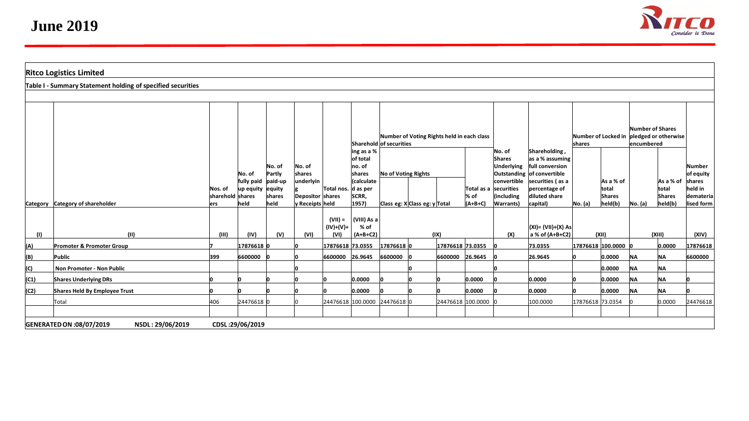

|      | <b>Ritco Logistics Limited</b>                              |                                     |                                 |                                     |                                                  |                          |                                          |                                                                       |                               |                                                                                                                  |                                               |                                                |                                                                |                                                    |                                                |                                 |                                                |                                              |
|------|-------------------------------------------------------------|-------------------------------------|---------------------------------|-------------------------------------|--------------------------------------------------|--------------------------|------------------------------------------|-----------------------------------------------------------------------|-------------------------------|------------------------------------------------------------------------------------------------------------------|-----------------------------------------------|------------------------------------------------|----------------------------------------------------------------|----------------------------------------------------|------------------------------------------------|---------------------------------|------------------------------------------------|----------------------------------------------|
|      | Table I - Summary Statement holding of specified securities |                                     |                                 |                                     |                                                  |                          |                                          |                                                                       |                               |                                                                                                                  |                                               |                                                |                                                                |                                                    |                                                |                                 |                                                |                                              |
|      |                                                             |                                     |                                 |                                     |                                                  |                          |                                          |                                                                       |                               |                                                                                                                  |                                               |                                                |                                                                |                                                    |                                                |                                 |                                                |                                              |
|      |                                                             |                                     |                                 |                                     |                                                  |                          | ing as a %                               | Number of Voting Rights held in each class<br>Sharehold of securities |                               |                                                                                                                  |                                               |                                                | Shareholding,                                                  | Number of Locked in pledged or otherwise<br>shares |                                                | Number of Shares<br>lencumbered |                                                |                                              |
|      |                                                             |                                     | No. of                          | No. of<br>Partly                    | No. of<br>shares                                 |                          | of total<br>no. of<br>shares             | <b>No of Voting Rights</b>                                            |                               | No. of<br>as a % assuming<br><b>Shares</b><br>full conversion<br><b>Underlying</b><br>Outstanding of convertible |                                               |                                                |                                                                |                                                    |                                                | Number<br>of equity             |                                                |                                              |
|      | Category Category of shareholder                            | Nos. of<br>sharehold shares<br>lers | fully paid<br>up equity<br>held | paid-up<br>equity<br>shares<br>held | underlyin<br>Depositor shares<br>v Receipts held | Total nos.               | (calculate<br>d as per<br>SCRR,<br>1957) |                                                                       | Class eg: X Class eg: y Total |                                                                                                                  | Total as a securities<br>$\%$ of<br>$(A+B+C)$ | convertible<br>(including<br><b>Warrants</b> ) | securities (as a<br>percentage of<br>diluted share<br>capital) | No. (a)                                            | As a % of<br>total<br><b>Shares</b><br>held(b) | No. (a)                         | As a % of<br>total<br><b>Shares</b><br>held(b) | shares<br>held in<br>demateria<br>lised form |
|      |                                                             |                                     |                                 |                                     |                                                  | $(VII) =$<br>$(IV)+(V)+$ | (VIII) As a<br>% of                      |                                                                       |                               |                                                                                                                  |                                               |                                                | $ (XI) = (VII)+(X) As$                                         |                                                    |                                                |                                 |                                                |                                              |
| (1)  | (11)                                                        | (III)                               | (IV)                            | (V)                                 | (VI)                                             | (VI)                     | $(A+B+C2)$                               |                                                                       |                               | (IX)                                                                                                             |                                               | (X)                                            | $ a \times of (A+B+C2) $                                       |                                                    | (XII)                                          |                                 | (XIII)                                         | (XIV)                                        |
| (A)  | Promoter & Promoter Group                                   |                                     | 17876618 0                      |                                     |                                                  | 17876618 73.0355         |                                          | 17876618 0                                                            |                               | 17876618 73.0355                                                                                                 |                                               |                                                | 73.0355                                                        |                                                    | 17876618 100.0000 0                            |                                 | 0.0000                                         | 17876618                                     |
| (B)  | Public                                                      | 399                                 | 6600000                         |                                     |                                                  | 6600000                  | 26.9645                                  | 6600000                                                               |                               | 6600000 26.9645                                                                                                  |                                               |                                                | 26.9645                                                        |                                                    | 0.0000                                         | <b>NA</b>                       | <b>NA</b>                                      | 6600000                                      |
| (C)  | Non Promoter - Non Public                                   |                                     |                                 |                                     |                                                  |                          |                                          |                                                                       |                               |                                                                                                                  |                                               |                                                |                                                                |                                                    | 0.0000                                         | <b>NA</b>                       | <b>NA</b>                                      |                                              |
| (C1) | <b>Shares Underlying DRs</b>                                |                                     |                                 |                                     |                                                  |                          | 0.0000                                   |                                                                       |                               |                                                                                                                  | 0.0000                                        |                                                | 0.0000                                                         |                                                    | 0.0000                                         | <b>NA</b>                       | <b>NA</b>                                      |                                              |
| (C2) | Shares Held By Employee Trust                               |                                     |                                 |                                     |                                                  |                          | 0.0000                                   |                                                                       |                               |                                                                                                                  | 0.0000                                        |                                                | 0.0000                                                         |                                                    | 0.0000                                         | <b>NA</b>                       | <b>NA</b>                                      |                                              |
|      | Total                                                       | 406                                 | 24476618                        |                                     |                                                  |                          | 24476618 100.0000 24476618 0             |                                                                       |                               |                                                                                                                  | 24476618 100.0000                             |                                                | 100.0000                                                       | 17876618 73.0354                                   |                                                |                                 | 0.0000                                         | 24476618                                     |
|      | GENERATED ON :08/07/2019<br>NSDL: 29/06/2019                |                                     | CDSL:29/06/2019                 |                                     |                                                  |                          |                                          |                                                                       |                               |                                                                                                                  |                                               |                                                |                                                                |                                                    |                                                |                                 |                                                |                                              |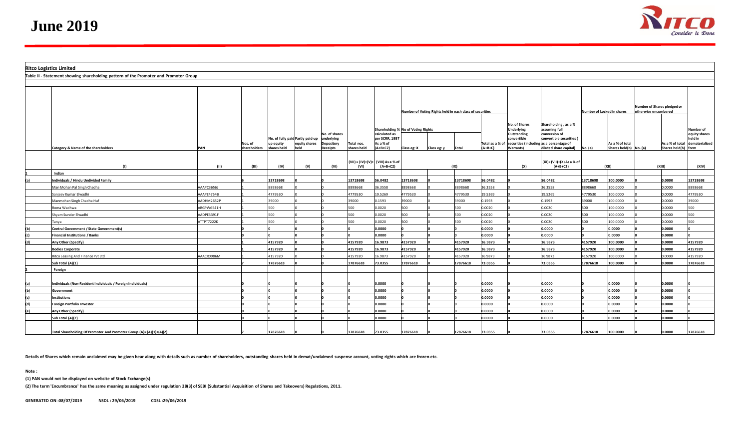

| <b>Ritco Logistics Limited</b> |                                                                                      |            |                         |                          |                                                           |                                                      |                                                          |                                                            |             |             |          |                              |                                                                                     |                                                                     |                                                     |                                               |  |                                        |                                            |
|--------------------------------|--------------------------------------------------------------------------------------|------------|-------------------------|--------------------------|-----------------------------------------------------------|------------------------------------------------------|----------------------------------------------------------|------------------------------------------------------------|-------------|-------------|----------|------------------------------|-------------------------------------------------------------------------------------|---------------------------------------------------------------------|-----------------------------------------------------|-----------------------------------------------|--|----------------------------------------|--------------------------------------------|
|                                | Table II - Statement showing shareholding pattern of the Promoter and Promoter Group |            |                         |                          |                                                           |                                                      |                                                          |                                                            |             |             |          |                              |                                                                                     |                                                                     |                                                     |                                               |  |                                        |                                            |
|                                |                                                                                      |            |                         |                          |                                                           |                                                      |                                                          |                                                            |             |             |          |                              |                                                                                     |                                                                     |                                                     |                                               |  |                                        |                                            |
|                                |                                                                                      |            |                         |                          |                                                           |                                                      | Number of Voting Rights held in each class of securities |                                                            |             |             |          |                              | Number of Locked in shares                                                          |                                                                     | Number of Shares pledged or<br>otherwise encumbered |                                               |  |                                        |                                            |
|                                |                                                                                      |            |                         |                          |                                                           |                                                      |                                                          | Shareholding % No of Voting Rights                         |             |             |          |                              | No. of Shares<br><b>Underlying</b>                                                  | Shareholding, as a %<br>assuming full                               |                                                     |                                               |  |                                        | Number of                                  |
|                                | Category & Name of the shareholders                                                  | PAN        | Nos. of<br>shareholders | up equity<br>shares held | No. of fully paid Partly paid-up<br>equity shares<br>held | No. of shares<br>nderlying<br>Depository<br>Receipts | Total nos.<br>shares held                                | calculated as<br>per SCRR, 1957<br>As a % of<br>$(A+B+C2)$ | Class eg: X | Class eg: y | Total    | Total as a % of<br>$(A+B+C)$ | Outstanding<br>convertible<br>securities (including as a percentage of<br>Warrants) | conversion of<br>convertible securities (<br>diluted share capital) | No. (a)                                             | As a % of total<br>Shares held(b) $N_0$ . (a) |  | As a % of total<br>Shares held(b) form | equity shares<br>held in<br>dematerialised |
|                                |                                                                                      |            |                         |                          |                                                           |                                                      |                                                          | (VII) = (IV)+(V)+ (VIII) As a % of                         |             |             |          |                              |                                                                                     | (XI)=(VII)+(X) As a % of                                            |                                                     |                                               |  |                                        |                                            |
|                                | (1)<br>Indian                                                                        | (11)       | (III)                   | (IV)                     | (V)                                                       | (VI)                                                 | (VI)                                                     | $(A+B+C2)$                                                 |             |             | (IX)     |                              | (X)                                                                                 | $(A+B+C2)$                                                          |                                                     | (XII)                                         |  | (XIII)                                 | (XIV)                                      |
| (a)                            | Individuals / Hindu Undivided Family                                                 |            |                         | 13718698                 |                                                           |                                                      | 13718698                                                 | 56.0482                                                    | 13718698    |             | 13718698 | 56.0482                      |                                                                                     | 56.0482                                                             | 13718698                                            | 100.0000                                      |  | 0.0000                                 | 13718698                                   |
|                                | Man Mohan Pal Singh Chadha                                                           | AAAPC3656J |                         | 8898668                  |                                                           |                                                      | 8898668                                                  | 36.3558                                                    | 8898668     |             | 8898668  | 6.3558                       |                                                                                     | 36.3558                                                             | 8898668                                             | 100.0000                                      |  | 0.0000                                 | 8898668                                    |
|                                | Sanieev Kumar Elwadhi                                                                | AAAPE4754B |                         | 779530                   |                                                           |                                                      | 1779530                                                  | 19.5269                                                    | 4779530     |             | 1779530  | 9.5269                       |                                                                                     | 19.5269                                                             | 4779530                                             | 100.0000                                      |  | 0.0000                                 | 4779530                                    |
|                                | Manmohan Singh Chadha Huf                                                            | AADHM2652P |                         | 9000                     |                                                           |                                                      | 39000                                                    | 1593                                                       | 39000       |             | 39000    | .1593                        |                                                                                     | 0.1593                                                              | 39000                                               | 100.0000                                      |  | 0000.0                                 | 39000                                      |
|                                | Roma Wadhwa                                                                          | ABGPW6541H |                         | 500                      |                                                           |                                                      | 500                                                      | 0.0020                                                     | 500         |             | 500      | 0.0020                       |                                                                                     | 0.0020                                                              | 500                                                 | 100.0000                                      |  | 0.0000                                 | 500                                        |
|                                | Shyam Sunder Elwadhi                                                                 | AADPE3391F |                         | 500                      |                                                           |                                                      | 500                                                      | 0.0020                                                     | 500         |             | 500      | 0.0020                       |                                                                                     | 0.0020                                                              | 500                                                 | 100.0000                                      |  | 0.0000                                 | 500                                        |
|                                | Tanya                                                                                | ATTPT7222K |                         | 500                      |                                                           |                                                      | 500                                                      | 0.0020                                                     | 500         |             | 500      | 0.0020                       |                                                                                     | 0.0020                                                              | 500                                                 | 100.0000                                      |  | 0.0000                                 | 500                                        |
|                                | Central Government / State Government(s)                                             |            |                         |                          |                                                           |                                                      |                                                          | 0.0000                                                     |             |             |          | 0000.0                       |                                                                                     | 0.0000                                                              |                                                     | 0.0000                                        |  | 0.0000                                 |                                            |
|                                | <b>Financial Institutions / Banks</b>                                                |            |                         |                          |                                                           |                                                      |                                                          | 0.0000                                                     |             |             |          | .0000                        |                                                                                     | 0.0000                                                              |                                                     | 0.0000                                        |  | 0.0000                                 |                                            |
| (d)                            | Any Other (Specify)                                                                  |            |                         | 1157920                  |                                                           |                                                      | 4157920                                                  | 16.9873                                                    | 4157920     |             | 4157920  | 16.9873                      |                                                                                     | 16.9873                                                             | 4157920                                             | 100.0000                                      |  | 0.0000                                 | 4157920                                    |
|                                | <b>Bodies Corporate</b>                                                              |            |                         | 4157920                  |                                                           |                                                      | 4157920                                                  | 16.9873                                                    | 4157920     |             | 4157920  | 16.9873                      |                                                                                     | 16.9873                                                             | 4157920                                             | 100.0000                                      |  | 0.0000                                 | 4157920                                    |
|                                | Ritco Leasing And Finance Pvt Ltd                                                    | AAACR0986M |                         | 157920                   |                                                           |                                                      | 1157920                                                  | 16.9873                                                    | 4157920     |             | 1157920  | 16.9873                      |                                                                                     | 16.9873                                                             | 4157920                                             | 100.0000                                      |  | 0.0000                                 | 4157920                                    |
|                                | Sub Total (A)(1)                                                                     |            |                         | 7876618                  |                                                           |                                                      | 17876618                                                 | 73.0355                                                    | 17876618    |             | 17876618 | 3.0355                       |                                                                                     | 73.0355                                                             | 17876618                                            | 100.0000                                      |  | 0.0000                                 | 17876618                                   |
|                                | Foreign                                                                              |            |                         |                          |                                                           |                                                      |                                                          |                                                            |             |             |          |                              |                                                                                     |                                                                     |                                                     |                                               |  |                                        |                                            |
|                                |                                                                                      |            |                         |                          |                                                           |                                                      |                                                          |                                                            |             |             |          |                              |                                                                                     |                                                                     |                                                     |                                               |  |                                        |                                            |
|                                | Individuals (Non-Resident Individuals / Foreign Individuals)                         |            |                         |                          |                                                           |                                                      |                                                          | 0.0000                                                     |             |             |          | 0000.0                       |                                                                                     | 0.0000                                                              |                                                     | 0.0000                                        |  | 0.0000                                 |                                            |
| 'nь                            | Government                                                                           |            |                         |                          |                                                           |                                                      |                                                          | 0.0000                                                     |             |             |          | .0000                        |                                                                                     | 0.0000                                                              |                                                     | 0.0000                                        |  | 0.0000                                 |                                            |
|                                | nstitutions                                                                          |            |                         |                          |                                                           |                                                      |                                                          | 0000.0                                                     |             |             |          | .0000                        |                                                                                     | 0.0000                                                              |                                                     | 0000.0                                        |  | 0.0000                                 |                                            |
| (d)                            | Foreign Portfolio Investor                                                           |            |                         |                          |                                                           |                                                      |                                                          | 0.0000                                                     |             |             |          | .0000                        |                                                                                     | 0.0000                                                              |                                                     | 0000.0                                        |  | 0.0000                                 |                                            |
| l(e)                           | Any Other (Specify)                                                                  |            |                         |                          |                                                           |                                                      |                                                          | 0.0000                                                     |             |             |          | .0000                        |                                                                                     | 0.0000                                                              |                                                     | 0000.0                                        |  | 0.0000                                 |                                            |
|                                | Sub Total (A)(2)                                                                     |            |                         |                          |                                                           |                                                      |                                                          | 0.0000                                                     |             |             |          | ,0000                        |                                                                                     | 0.0000                                                              |                                                     | 0.0000                                        |  | 0.0000                                 |                                            |
|                                |                                                                                      |            |                         |                          |                                                           |                                                      |                                                          |                                                            |             |             |          |                              |                                                                                     |                                                                     |                                                     |                                               |  |                                        |                                            |
|                                | Total Shareholding Of Promoter And Promoter Group (A)=(A)(1)+(A)(2)                  |            |                         | 17876618                 |                                                           |                                                      | 17876618                                                 | 73.0355                                                    | 17876618    |             | 17876618 | 73.0355                      |                                                                                     | 73.0355                                                             | 17876618                                            | 100.0000                                      |  | 0.0000                                 | 17876618                                   |

**Details of Shares which remain unclaimed may be given hear along with details such as number of shareholders, outstanding shares held in demat/unclaimed suspense account, voting rights which are frozen etc.**

**Note :**

**(1) PAN would not be displayed on website of Stock Exchange(s)** 

**(2) The term 'Encumbrance' has the same meaning as assigned under regulation 28(3) of SEBI (Substantial Acquisition of Shares and Takeovers) Regulations, 2011.**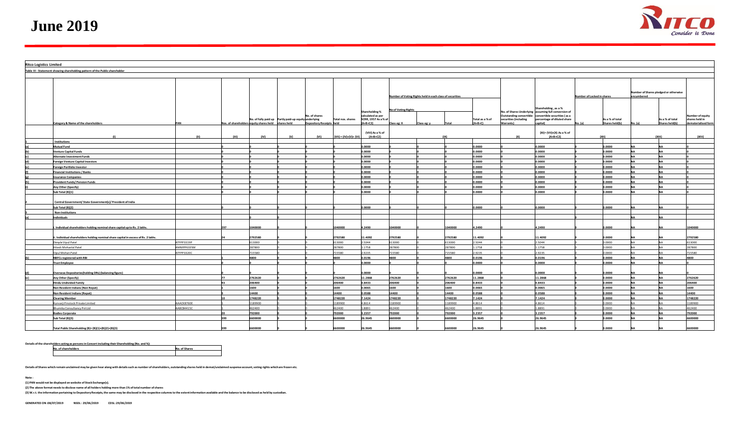**June 2019**



| <b>Ritco Logistics Limited</b> |                                                                                   |            |       |                                                     |                                                       |                                           |                         |                              |                                                                   |             |         |                              |                                                               |                                                                                                                                                        |                                                     |                                   |         |                                   |                                                                  |
|--------------------------------|-----------------------------------------------------------------------------------|------------|-------|-----------------------------------------------------|-------------------------------------------------------|-------------------------------------------|-------------------------|------------------------------|-------------------------------------------------------------------|-------------|---------|------------------------------|---------------------------------------------------------------|--------------------------------------------------------------------------------------------------------------------------------------------------------|-----------------------------------------------------|-----------------------------------|---------|-----------------------------------|------------------------------------------------------------------|
|                                | Table III - Statement showing shareholding pattern of the Public shareholder      |            |       |                                                     |                                                       |                                           |                         |                              |                                                                   |             |         |                              |                                                               |                                                                                                                                                        |                                                     |                                   |         |                                   |                                                                  |
|                                |                                                                                   |            |       |                                                     |                                                       |                                           |                         |                              |                                                                   |             |         |                              |                                                               |                                                                                                                                                        |                                                     |                                   |         |                                   |                                                                  |
|                                |                                                                                   |            |       |                                                     |                                                       |                                           |                         |                              | Number of Voting Rights held in each class of securities          |             |         |                              | Number of Locked in shares                                    |                                                                                                                                                        | Number of Shares pledged or otherwise<br>encumbered |                                   |         |                                   |                                                                  |
|                                | Category & Name of the shareholders                                               |            |       | los. of shareholders equity shares held shares held | No. of fully paid up Partly paid-up equity underlying | No. of shares<br>Depository Receipts held | Total nos. shares       |                              | <b>No of Voting Rights</b><br>SCRR, 1957 As a % of<br>Class eg: X | Class eg: y | Total   | Total as a % of<br>$(A+B+C)$ | Outstanding convertible<br>securities (including<br>Warrants) | Shareholding, as a %<br>No. of Shares Underlying assuming full conversion of<br>convertible securities (as a<br>percentage of diluted share<br>apital) |                                                     | As a % of total<br>Shares held(b) | No. (a) | As a % of total<br>Shares held(b) | <b>Number of equity</b><br>shares held in<br>dematerialised form |
|                                |                                                                                   | (11)       | (111) | (IV)                                                | (V)                                                   | (VI)                                      | $(VII) = (IV)+(V)+(VI)$ | (VIII) As a % of<br>(A+B+C2) |                                                                   |             | (IX)    |                              | (X)                                                           | (XI)= (VII)+(X) As a % of<br>(A+B+C2)                                                                                                                  |                                                     | (X  )                             |         | (X  1)                            | (XIV)                                                            |
|                                | Institutions                                                                      |            |       |                                                     |                                                       |                                           |                         |                              |                                                                   |             |         |                              |                                                               |                                                                                                                                                        |                                                     |                                   |         |                                   |                                                                  |
|                                | Mutual Fund                                                                       |            |       |                                                     |                                                       |                                           |                         | .0000                        |                                                                   |             |         | 0000.                        |                                                               | 0.0000                                                                                                                                                 |                                                     | 0000.                             |         |                                   |                                                                  |
|                                | <b>Venture Capital Funds</b>                                                      |            |       |                                                     |                                                       |                                           |                         | .0000                        |                                                                   |             |         | 0000.                        |                                                               | 0.0000                                                                                                                                                 |                                                     | 0.0000                            |         |                                   |                                                                  |
|                                | Alternate Investment Funds                                                        |            |       |                                                     |                                                       |                                           |                         | .0000                        |                                                                   |             |         | 0000.                        |                                                               | 0.0000                                                                                                                                                 |                                                     | 0.0000                            |         |                                   |                                                                  |
|                                | Foreign Venture Capital Investors                                                 |            |       |                                                     |                                                       |                                           |                         | 0000.0                       |                                                                   |             |         | 0.0000                       |                                                               | 0.0000                                                                                                                                                 |                                                     | 0.0000                            |         |                                   |                                                                  |
|                                | oreign Portfolio Investor                                                         |            |       |                                                     |                                                       |                                           |                         | 0000.0                       |                                                                   |             |         | 0000.                        |                                                               | 0.0000                                                                                                                                                 |                                                     | 0.0000                            |         |                                   |                                                                  |
|                                | <b>Financial Institutions / Banks</b>                                             |            |       |                                                     |                                                       |                                           |                         | .0000                        |                                                                   |             |         | 0000.                        |                                                               | 0.0000                                                                                                                                                 |                                                     | 0000.                             |         |                                   |                                                                  |
|                                | nsurance Companies                                                                |            |       |                                                     |                                                       |                                           |                         | .0000                        |                                                                   |             |         | 0000.                        |                                                               | 0.0000                                                                                                                                                 |                                                     | 0.0000                            |         |                                   |                                                                  |
|                                | rovident Funds/Pension Funds                                                      |            |       |                                                     |                                                       |                                           |                         | 0000.0                       |                                                                   |             |         | 0.0000                       |                                                               | 0.0000                                                                                                                                                 |                                                     | 0.0000                            |         |                                   |                                                                  |
|                                | Any Other (Specify)                                                               |            |       |                                                     |                                                       |                                           |                         | 0.0000                       |                                                                   |             |         | 0.0000                       |                                                               | 0.0000                                                                                                                                                 |                                                     | 0.0000                            |         |                                   |                                                                  |
|                                | ub Total (B)(1)                                                                   |            |       |                                                     |                                                       |                                           |                         | 0000                         |                                                                   |             |         | 0000.                        |                                                               | 0000.0                                                                                                                                                 |                                                     | 0000.                             |         |                                   |                                                                  |
|                                | Central Government/ State Government(s)/ President of India                       |            |       |                                                     |                                                       |                                           |                         |                              |                                                                   |             |         |                              |                                                               |                                                                                                                                                        |                                                     |                                   |         |                                   |                                                                  |
|                                | Sub Total (B)(2)                                                                  |            |       |                                                     |                                                       |                                           |                         | 0.0000                       |                                                                   |             |         | 0.0000                       |                                                               | 0.0000                                                                                                                                                 |                                                     | 0.0000                            |         |                                   |                                                                  |
|                                | <b>Non-Institutions</b>                                                           |            |       |                                                     |                                                       |                                           |                         |                              |                                                                   |             |         |                              |                                                               |                                                                                                                                                        |                                                     |                                   |         |                                   |                                                                  |
|                                | ndividuals                                                                        |            |       |                                                     |                                                       |                                           |                         |                              |                                                                   |             |         |                              |                                                               |                                                                                                                                                        |                                                     |                                   |         |                                   |                                                                  |
|                                | Individual shareholders holding nominal share capital up to Rs. 2 lakhs.          |            | 297   | 1040000                                             |                                                       |                                           | 1040000                 | .2490                        | 1040000                                                           |             | 1040000 | 4.2490                       |                                                               | 4.2490                                                                                                                                                 |                                                     | 0.0000                            |         |                                   | 1040000                                                          |
|                                | . Individual shareholders holding nominal share capital in excess of Rs. 2 lakhs. |            |       | 1792580                                             |                                                       |                                           | 2792580                 | 1.4092                       | 2792580                                                           |             | 2792580 | 1.4092                       |                                                               | 1.4092                                                                                                                                                 |                                                     | .0000                             |         |                                   | 2792580                                                          |
|                                | Dimple Vipul Patel                                                                | ATFPP3319P |       | 613000                                              |                                                       |                                           | 613000                  | .5044                        | 513000                                                            |             | 13000   | 5044                         |                                                               | 2.5044                                                                                                                                                 |                                                     | 0.000.0                           |         |                                   | 613000                                                           |
|                                | Hitesh Mohanlal Patel                                                             | AMMPP6335M |       | 287800                                              |                                                       |                                           | 287800                  | 1758                         | 87800                                                             |             | 287800  | .1758                        |                                                               | 1.1758                                                                                                                                                 |                                                     | 0.0000                            |         |                                   | 287800                                                           |
|                                | ipul Mohan Patel                                                                  | TFPP3320C  |       | 15580                                               |                                                       |                                           | 715580                  | .9235                        | 15580                                                             |             | 15580   | 9235                         |                                                               | 2.9235                                                                                                                                                 |                                                     | 0000.0                            |         |                                   | 715580                                                           |
|                                | <b>NBFCs registered with RBI</b>                                                  |            |       | 1800                                                |                                                       |                                           | 4800                    | 0.196                        | 800                                                               |             | 4800    | 0.196                        |                                                               | 0.0196                                                                                                                                                 |                                                     | 0000.                             |         |                                   | 4800                                                             |
|                                | <b>Trust Employee</b>                                                             |            |       |                                                     |                                                       |                                           |                         | 0.0000                       |                                                                   |             |         | 0.0000                       |                                                               | 0.0000                                                                                                                                                 |                                                     | 0.0000                            |         |                                   |                                                                  |
|                                | <b>Overseas Depositories (holding DRs) (balancing figure)</b>                     |            |       |                                                     |                                                       |                                           |                         | .0000                        |                                                                   |             |         | .0000                        |                                                               | 0.0000                                                                                                                                                 |                                                     | 0.0000                            |         |                                   |                                                                  |
|                                | Any Other (Specify)                                                               |            |       | 762620                                              |                                                       |                                           | 2762620                 | 1.2868                       | 762620                                                            |             | 2762620 | 1.2868                       |                                                               | 11.2868                                                                                                                                                |                                                     | 0000.                             |         |                                   | 2762620                                                          |
|                                | <b>Hindu Undivided Family</b>                                                     |            |       | 206400                                              |                                                       |                                           | 206400                  | 0.8433                       | 206400                                                            |             | 206400  | 0.8433                       |                                                               | 0.8433                                                                                                                                                 |                                                     | 0.0000                            |         |                                   | 206400                                                           |
|                                | Non Resident Indians (Non Repat)                                                  |            |       | 1600                                                |                                                       |                                           | 1600                    | 0.0065                       | 1600                                                              |             | 600     | 0.0065                       |                                                               | 0.0065                                                                                                                                                 |                                                     | 0.0000                            |         |                                   | 1600                                                             |
|                                | Non Resident Indians (Repat)                                                      |            |       | 14400                                               |                                                       |                                           | 14400                   | 0.0588                       | 14400                                                             |             | 14400   | 0588                         |                                                               | 0.0588                                                                                                                                                 |                                                     | 0.0000                            |         |                                   | 14400                                                            |
|                                | <b>Clearing Member</b>                                                            |            |       | 1748220                                             |                                                       |                                           | 1748220                 | 1424                         | 748220                                                            |             | 748220  | .1424                        |                                                               | 7.1424                                                                                                                                                 |                                                     | 0000.                             |         |                                   | 1748220                                                          |
|                                | unvarji Finstock Private Limited                                                  | AACK8760E  |       | 1189900                                             |                                                       |                                           | 1189900                 | 1.8614                       | 189900                                                            |             | 189900  | .8614                        |                                                               | 4.8614                                                                                                                                                 |                                                     | 0.0000                            |         |                                   | 1189900                                                          |
|                                | Bhumika Consultancy Pvt Ltd                                                       | AABCB4415C |       | 462400                                              |                                                       |                                           | 462400                  | 1.8891                       | 462400                                                            |             | 462400  | 1.8891                       |                                                               | 1.8891                                                                                                                                                 |                                                     | 0.000.0                           |         |                                   | 462400                                                           |
|                                | <b>Bodies Corporate</b>                                                           |            |       | 792000                                              |                                                       |                                           | 792000                  | .2357                        | 792000                                                            |             | 792000  | 3.2357                       |                                                               | 3.2357                                                                                                                                                 |                                                     | 0.0000                            |         |                                   | 792000                                                           |
|                                | ub Total (B)(3)                                                                   |            |       | 00000                                               |                                                       |                                           | 600000                  | 6.9645                       | 600000                                                            |             | 600000  | 16.9645                      |                                                               | 26.9645                                                                                                                                                |                                                     | 0000.                             |         |                                   | 6600000                                                          |
|                                | Total Public Shareholding (B)=(B)(1)+(B)(2)+(B)(3)                                |            |       | 600000                                              |                                                       |                                           | 600000                  | 6.9645                       | 600000                                                            |             | 600000  | 26.9645                      |                                                               | 26.9645                                                                                                                                                |                                                     | 0000.                             |         |                                   | 5600000                                                          |

Details of the shareholders acting as persons in Concert including their Shareholding (No. and %):

**No. of shareholders No. of Shares**

**Details of Shares which remain unclaimed may be given hear along with details such as number of shareholders, outstanding shares held in demat/unclaimed suspense account, voting rights which are frozen etc.**

**Note :**

**(1) PAN would not be displayed on website of Stock Exchange(s).** 

**(2) The above format needs to disclose name of all holders holding more than 1% of total number of shares**

**(3) W.r.t. the information pertaining to Depository Receipts, the same may be disclosed in the respective columns to the extent information available and the balance to be disclosed as held by custodian.**